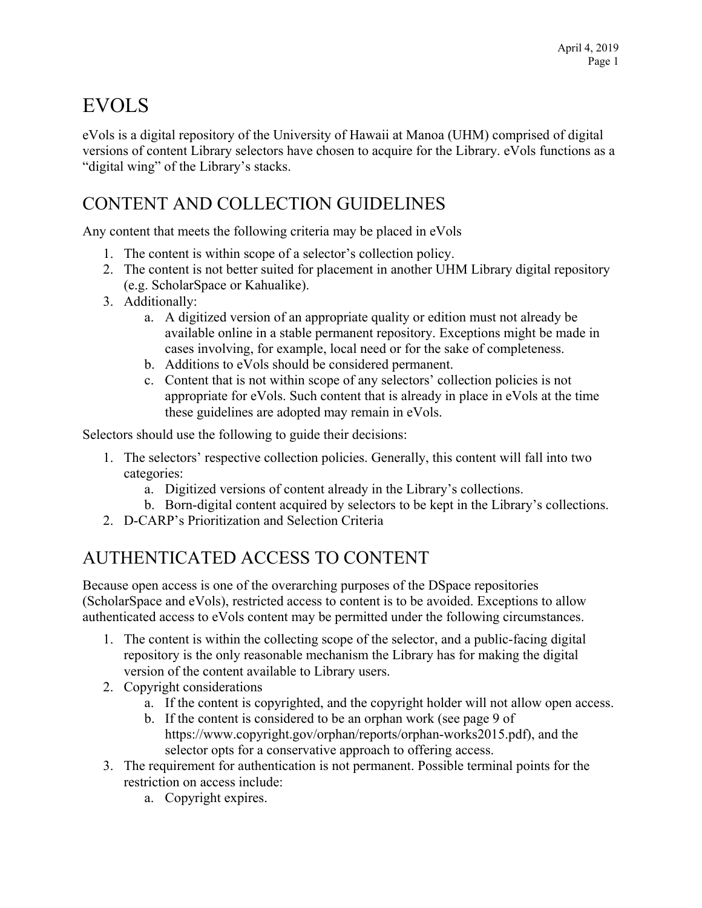## EVOLS

eVols is a digital repository of the University of Hawaii at Manoa (UHM) comprised of digital versions of content Library selectors have chosen to acquire for the Library. eVols functions as a "digital wing" of the Library's stacks.

## CONTENT AND COLLECTION GUIDELINES

Any content that meets the following criteria may be placed in eVols

- 1. The content is within scope of a selector's collection policy.
- 2. The content is not better suited for placement in another UHM Library digital repository (e.g. ScholarSpace or Kahualike).
- 3. Additionally:
	- a. A digitized version of an appropriate quality or edition must not already be available online in a stable permanent repository. Exceptions might be made in cases involving, for example, local need or for the sake of completeness.
	- b. Additions to eVols should be considered permanent.
	- c. Content that is not within scope of any selectors' collection policies is not appropriate for eVols. Such content that is already in place in eVols at the time these guidelines are adopted may remain in eVols.

Selectors should use the following to guide their decisions:

- 1. The selectors' respective collection policies. Generally, this content will fall into two categories:
	- a. Digitized versions of content already in the Library's collections.
	- b. Born-digital content acquired by selectors to be kept in the Library's collections.
- 2. D-CARP's Prioritization and Selection Criteria

## AUTHENTICATED ACCESS TO CONTENT

Because open access is one of the overarching purposes of the DSpace repositories (ScholarSpace and eVols), restricted access to content is to be avoided. Exceptions to allow authenticated access to eVols content may be permitted under the following circumstances.

- 1. The content is within the collecting scope of the selector, and a public-facing digital repository is the only reasonable mechanism the Library has for making the digital version of the content available to Library users.
- 2. Copyright considerations
	- a. If the content is copyrighted, and the copyright holder will not allow open access.
	- b. If the content is considered to be an orphan work (see page 9 of https://www.copyright.gov/orphan/reports/orphan-works2015.pdf), and the selector opts for a conservative approach to offering access.
- 3. The requirement for authentication is not permanent. Possible terminal points for the restriction on access include:
	- a. Copyright expires.